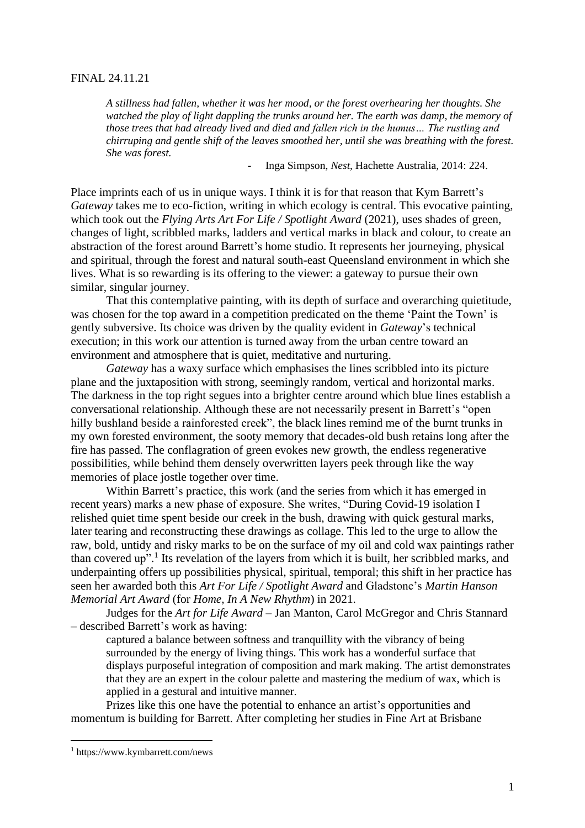## FINAL 24.11.21

*A stillness had fallen, whether it was her mood, or the forest overhearing her thoughts. She watched the play of light dappling the trunks around her. The earth was damp, the memory of those trees that had already lived and died and fallen rich in the humus… The rustling and chirruping and gentle shift of the leaves smoothed her, until she was breathing with the forest. She was forest.*

- Inga Simpson, *Nest*, Hachette Australia, 2014: 224.

Place imprints each of us in unique ways. I think it is for that reason that Kym Barrett's *Gateway* takes me to eco-fiction, writing in which ecology is central. This evocative painting, which took out the *Flying Arts Art For Life / Spotlight Award* (2021), uses shades of green, changes of light, scribbled marks, ladders and vertical marks in black and colour, to create an abstraction of the forest around Barrett's home studio. It represents her journeying, physical and spiritual, through the forest and natural south-east Queensland environment in which she lives. What is so rewarding is its offering to the viewer: a gateway to pursue their own similar, singular journey.

That this contemplative painting, with its depth of surface and overarching quietitude, was chosen for the top award in a competition predicated on the theme 'Paint the Town' is gently subversive. Its choice was driven by the quality evident in *Gateway*'s technical execution; in this work our attention is turned away from the urban centre toward an environment and atmosphere that is quiet, meditative and nurturing.

*Gateway* has a waxy surface which emphasises the lines scribbled into its picture plane and the juxtaposition with strong, seemingly random, vertical and horizontal marks. The darkness in the top right segues into a brighter centre around which blue lines establish a conversational relationship. Although these are not necessarily present in Barrett's "open hilly bushland beside a rainforested creek", the black lines remind me of the burnt trunks in my own forested environment, the sooty memory that decades-old bush retains long after the fire has passed. The conflagration of green evokes new growth, the endless regenerative possibilities, while behind them densely overwritten layers peek through like the way memories of place jostle together over time.

Within Barrett's practice, this work (and the series from which it has emerged in recent years) marks a new phase of exposure. She writes, "During Covid-19 isolation I relished quiet time spent beside our creek in the bush, drawing with quick gestural marks, later tearing and reconstructing these drawings as collage. This led to the urge to allow the raw, bold, untidy and risky marks to be on the surface of my oil and cold wax paintings rather than covered up".<sup>1</sup> Its revelation of the layers from which it is built, her scribbled marks, and underpainting offers up possibilities physical, spiritual, temporal; this shift in her practice has seen her awarded both this *Art For Life / Spotlight Award* and Gladstone's *Martin Hanson Memorial Art Award* (for *Home, In A New Rhythm*) in 2021.

Judges for the *Art for Life Award* – Jan Manton, Carol McGregor and Chris Stannard – described Barrett's work as having:

captured a balance between softness and tranquillity with the vibrancy of being surrounded by the energy of living things. This work has a wonderful surface that displays purposeful integration of composition and mark making. The artist demonstrates that they are an expert in the colour palette and mastering the medium of wax, which is applied in a gestural and intuitive manner.

Prizes like this one have the potential to enhance an artist's opportunities and momentum is building for Barrett. After completing her studies in Fine Art at Brisbane

<sup>1</sup> https://www.kymbarrett.com/news